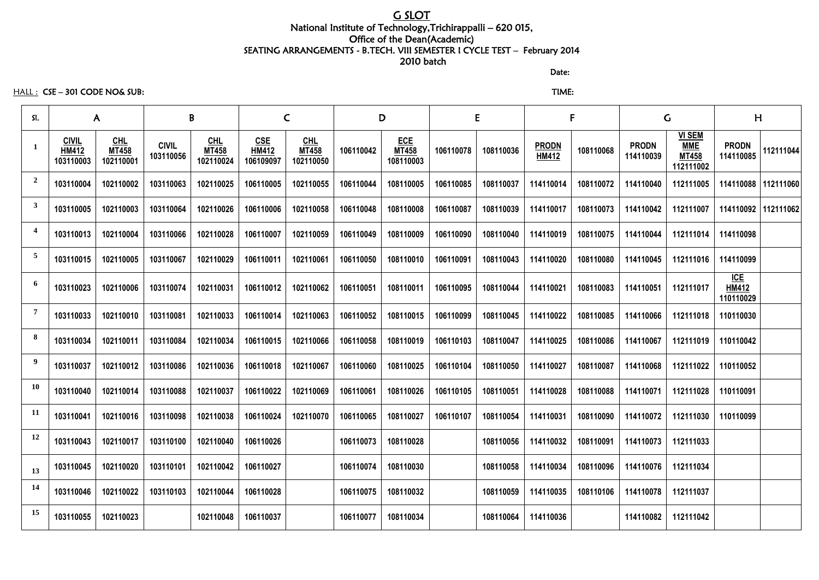# G SLOT

#### National Institute of Technology,Trichirappalli – 620 015, Office of the Dean(Academic) SEATING ARRANGEMENTS - B.TECH. VIII SEMESTER I CYCLE TEST – February 2014 2010 batch

discussion of the contract of the contract of the Date:

HALL : CSE – 301 CODE NO& SUB: TIME:

| SI.                     |                                           | $\mathsf{A}$                       |                           | B                                  |                                         | $\mathsf C$                        |           | D                                       | E         |           | F                            |           | $\mathsf C$               |                                                          | H                                       |           |
|-------------------------|-------------------------------------------|------------------------------------|---------------------------|------------------------------------|-----------------------------------------|------------------------------------|-----------|-----------------------------------------|-----------|-----------|------------------------------|-----------|---------------------------|----------------------------------------------------------|-----------------------------------------|-----------|
| $\mathbf{1}$            | <b>CIVIL</b><br><b>HM412</b><br>103110003 | $CHL$<br><b>MT458</b><br>102110001 | <b>CIVIL</b><br>103110056 | $CHL$<br><b>MT458</b><br>102110024 | <b>CSE</b><br><b>HM412</b><br>106109097 | $CHL$<br><b>MT458</b><br>102110050 | 106110042 | <b>ECE</b><br><b>MT458</b><br>108110003 | 106110078 | 108110036 | <b>PRODN</b><br><b>HM412</b> | 108110068 | <b>PRODN</b><br>114110039 | <b>VI SEM</b><br><b>MME</b><br><b>MT458</b><br>112111002 | <b>PRODN</b><br>114110085               | 112111044 |
| $\overline{2}$          | 103110004                                 | 102110002                          | 103110063                 | 102110025                          | 106110005                               | 102110055                          | 106110044 | 108110005                               | 106110085 | 108110037 | 114110014                    | 108110072 | 114110040                 | 112111005                                                | 114110088                               | 112111060 |
| $\mathbf{3}$            | 103110005                                 | 102110003                          | 103110064                 | 102110026                          | 106110006                               | 102110058                          | 106110048 | 108110008                               | 106110087 | 108110039 | 114110017                    | 108110073 | 114110042                 | 112111007                                                | 114110092                               | 112111062 |
| $\overline{\mathbf{4}}$ | 103110013                                 | 102110004                          | 103110066                 | 102110028                          | 106110007                               | 102110059                          | 106110049 | 108110009                               | 106110090 | 108110040 | 114110019                    | 108110075 | 114110044                 | 112111014                                                | 114110098                               |           |
| $\overline{5}$          | 103110015                                 | 102110005                          | 103110067                 | 102110029                          | 106110011                               | 102110061                          | 106110050 | 108110010                               | 106110091 | 108110043 | 114110020                    | 108110080 | 114110045                 | 112111016                                                | 114110099                               |           |
| 6                       | 103110023                                 | 102110006                          | 103110074                 | 102110031                          | 106110012                               | 102110062                          | 106110051 | 108110011                               | 106110095 | 108110044 | 114110021                    | 108110083 | 114110051                 | 112111017                                                | <u>ICE</u><br><b>HM412</b><br>110110029 |           |
| $\overline{7}$          | 103110033                                 | 102110010                          | 103110081                 | 102110033                          | 106110014                               | 102110063                          | 106110052 | 108110015                               | 106110099 | 108110045 | 114110022                    | 108110085 | 114110066                 | 112111018                                                | 110110030                               |           |
| 8                       | 103110034                                 | 102110011                          | 103110084                 | 102110034                          | 106110015                               | 102110066                          | 106110058 | 108110019                               | 106110103 | 108110047 | 114110025                    | 108110086 | 114110067                 | 112111019                                                | 110110042                               |           |
| 9                       | 103110037                                 | 102110012                          | 103110086                 | 102110036                          | 106110018                               | 102110067                          | 106110060 | 108110025                               | 106110104 | 108110050 | 114110027                    | 108110087 | 114110068                 | 112111022                                                | 110110052                               |           |
| <b>10</b>               | 103110040                                 | 102110014                          | 103110088                 | 102110037                          | 106110022                               | 102110069                          | 106110061 | 108110026                               | 106110105 | 108110051 | 114110028                    | 108110088 | 114110071                 | 112111028                                                | 110110091                               |           |
| 11                      | 103110041                                 | 102110016                          | 103110098                 | 102110038                          | 106110024                               | 102110070                          | 106110065 | 108110027                               | 106110107 | 108110054 | 114110031                    | 108110090 | 114110072                 | 112111030                                                | 110110099                               |           |
| 12                      | 103110043                                 | 102110017                          | 103110100                 | 102110040                          | 106110026                               |                                    | 106110073 | 108110028                               |           | 108110056 | 114110032                    | 108110091 | 114110073                 | 112111033                                                |                                         |           |
| 13                      | 103110045                                 | 102110020                          | 103110101                 | 102110042                          | 106110027                               |                                    | 106110074 | 108110030                               |           | 108110058 | 114110034                    | 108110096 | 114110076                 | 112111034                                                |                                         |           |
| 14                      | 103110046                                 | 102110022                          | 103110103                 | 102110044                          | 106110028                               |                                    | 106110075 | 108110032                               |           | 108110059 | 114110035                    | 108110106 | 114110078                 | 112111037                                                |                                         |           |
| 15                      | 103110055                                 | 102110023                          |                           | 102110048                          | 106110037                               |                                    | 106110077 | 108110034                               |           | 108110064 | 114110036                    |           | 114110082                 | 112111042                                                |                                         |           |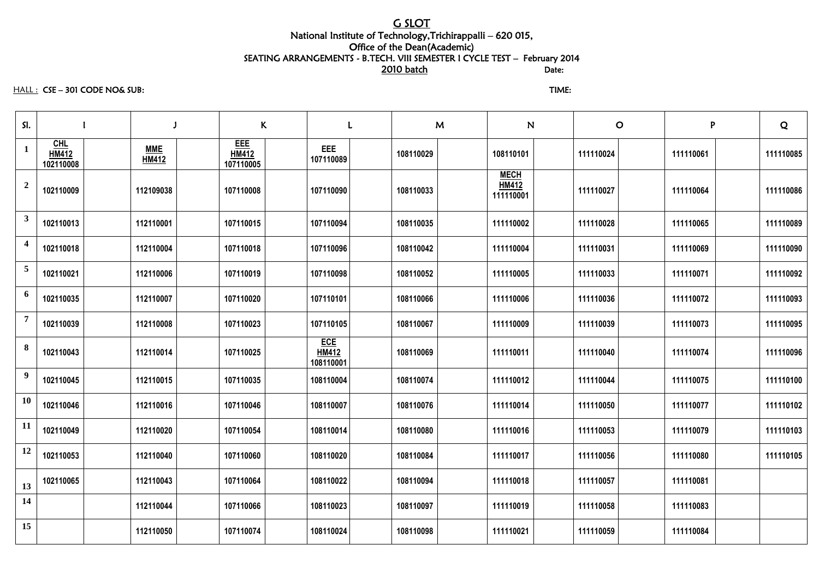### G SLOT National Institute of Technology,Trichirappalli – 620 015, Office of the Dean(Academic) SEATING ARRANGEMENTS - B.TECH. VIII SEMESTER I CYCLE TEST – February 2014 and the contract of the contract of the contract of  $\overline{\text{2010 } \text{ batch}}$  batch  $\overline{\text{Date}}$ :

HALL : CSE – 301 CODE NO& SUB: TIME:

| SI.              |                                    |                            | K                                       |                                         | $\mathbf{L}$ |           | M |                                          | N | $\mathbf O$ | P         | Q         |
|------------------|------------------------------------|----------------------------|-----------------------------------------|-----------------------------------------|--------------|-----------|---|------------------------------------------|---|-------------|-----------|-----------|
| $\mathbf{1}$     | $CHL$<br><b>HM412</b><br>102110008 | <b>MME</b><br><b>HM412</b> | <b>EEE</b><br><b>HM412</b><br>107110005 | <b>EEE</b><br>107110089                 |              | 108110029 |   | 108110101                                |   | 111110024   | 111110061 | 111110085 |
| $\boldsymbol{2}$ | 102110009                          | 112109038                  | 107110008                               | 107110090                               |              | 108110033 |   | <b>MECH</b><br><b>HM412</b><br>111110001 |   | 111110027   | 111110064 | 111110086 |
| 3                | 102110013                          | 112110001                  | 107110015                               | 107110094                               |              | 108110035 |   | 111110002                                |   | 111110028   | 111110065 | 111110089 |
|                  | 102110018                          | 112110004                  | 107110018                               | 107110096                               |              | 108110042 |   | 111110004                                |   | 111110031   | 111110069 | 111110090 |
| $\overline{5}$   | 102110021                          | 112110006                  | 107110019                               | 107110098                               |              | 108110052 |   | 111110005                                |   | 111110033   | 111110071 | 111110092 |
| 6                | 102110035                          | 112110007                  | 107110020                               | 107110101                               |              | 108110066 |   | 111110006                                |   | 111110036   | 111110072 | 111110093 |
| $7\phantom{.0}$  | 102110039                          | 112110008                  | 107110023                               | 107110105                               |              | 108110067 |   | 111110009                                |   | 111110039   | 111110073 | 111110095 |
| 8                | 102110043                          | 112110014                  | 107110025                               | <b>ECE</b><br><b>HM412</b><br>108110001 |              | 108110069 |   | 111110011                                |   | 111110040   | 111110074 | 111110096 |
| $\overline{9}$   | 102110045                          | 112110015                  | 107110035                               | 108110004                               |              | 108110074 |   | 111110012                                |   | 111110044   | 111110075 | 111110100 |
| <b>10</b>        | 102110046                          | 112110016                  | 107110046                               | 108110007                               |              | 108110076 |   | 111110014                                |   | 111110050   | 111110077 | 111110102 |
| 11               | 102110049                          | 112110020                  | 107110054                               | 108110014                               |              | 108110080 |   | 111110016                                |   | 111110053   | 111110079 | 111110103 |
| <b>12</b>        | 102110053                          | 112110040                  | 107110060                               | 108110020                               |              | 108110084 |   | 111110017                                |   | 111110056   | 111110080 | 111110105 |
| 13               | 102110065                          | 112110043                  | 107110064                               | 108110022                               |              | 108110094 |   | 111110018                                |   | 111110057   | 111110081 |           |
| <b>14</b>        |                                    | 112110044                  | 107110066                               | 108110023                               |              | 108110097 |   | 111110019                                |   | 111110058   | 111110083 |           |
| 15               |                                    | 112110050                  | 107110074                               | 108110024                               |              | 108110098 |   | 111110021                                |   | 111110059   | 111110084 |           |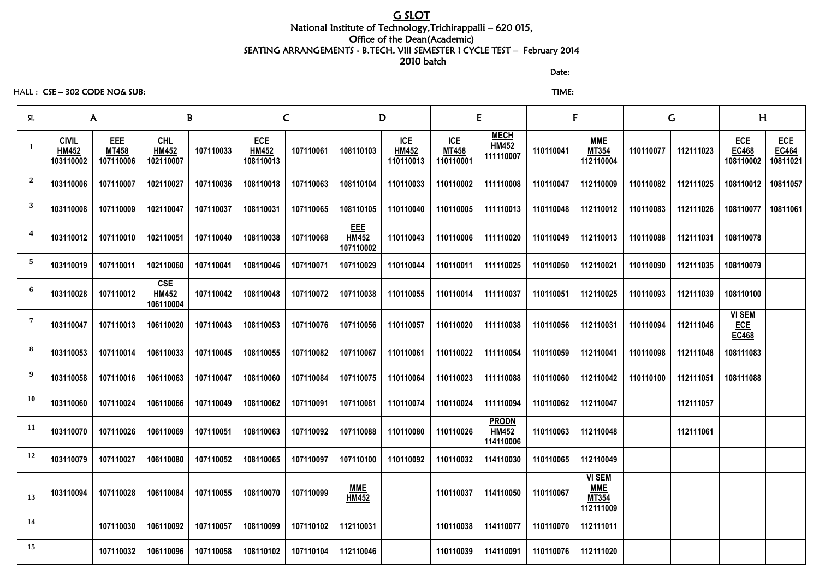# G SLOT

### National Institute of Technology,Trichirappalli – 620 015, Office of the Dean(Academic) SEATING ARRANGEMENTS - B.TECH. VIII SEMESTER I CYCLE TEST – February 2014 2010 batch

discussion of the contract of the contract of the Date:

### HALL : CSE – 302 CODE NO& SUB: TIME:

| SI.                     | $\mathsf{A}$                              |                                         |                                         | B         | $\mathsf{C}$                            |           | D                                       |                                         | E                                       |                                           | F         |                                                          | G         |           | H                                           |                                        |
|-------------------------|-------------------------------------------|-----------------------------------------|-----------------------------------------|-----------|-----------------------------------------|-----------|-----------------------------------------|-----------------------------------------|-----------------------------------------|-------------------------------------------|-----------|----------------------------------------------------------|-----------|-----------|---------------------------------------------|----------------------------------------|
|                         | <b>CIVIL</b><br><b>HM452</b><br>103110002 | <b>EEE</b><br><b>MT458</b><br>107110006 | $CHL$<br><b>HM452</b><br>102110007      | 107110033 | <b>ECE</b><br><b>HM452</b><br>108110013 | 107110061 | 108110103                               | <u>ICE</u><br><b>HM452</b><br>110110013 | <u>ICE</u><br><b>MT458</b><br>110110001 | <b>MECH</b><br><b>HM452</b><br>111110007  | 110110041 | <b>MME</b><br><b>MT354</b><br>112110004                  | 110110077 | 112111023 | <b>ECE</b><br><b>EC468</b><br>108110002     | <b>ECE</b><br><b>EC464</b><br>10811021 |
| $\overline{2}$          | 103110006                                 | 107110007                               | 102110027                               | 107110036 | 108110018                               | 107110063 | 108110104                               | 110110033                               | 110110002                               | 111110008                                 | 110110047 | 112110009                                                | 110110082 | 112111025 | 108110012                                   | 10811057                               |
| $\mathbf{3}$            | 103110008                                 | 107110009                               | 102110047                               | 107110037 | 108110031                               | 107110065 | 108110105                               | 110110040                               | 110110005                               | 111110013                                 | 110110048 | 112110012                                                | 110110083 | 112111026 | 108110077                                   | 10811061                               |
| $\overline{\mathbf{4}}$ | 103110012                                 | 107110010                               | 102110051                               | 107110040 | 108110038                               | 107110068 | <b>EEE</b><br><b>HM452</b><br>107110002 | 110110043                               | 110110006                               | 111110020                                 | 110110049 | 112110013                                                | 110110088 | 112111031 | 108110078                                   |                                        |
| 5                       | 103110019                                 | 107110011                               | 102110060                               | 107110041 | 108110046                               | 107110071 | 107110029                               | 110110044                               | 110110011                               | 111110025                                 | 110110050 | 112110021                                                | 110110090 | 112111035 | 108110079                                   |                                        |
| 6                       | 103110028                                 | 107110012                               | <u>CSE</u><br><b>HM452</b><br>106110004 | 107110042 | 108110048                               | 107110072 | 107110038                               | 110110055                               | 110110014                               | 111110037                                 | 110110051 | 112110025                                                | 110110093 | 112111039 | 108110100                                   |                                        |
| 7                       | 103110047                                 | 107110013                               | 106110020                               | 107110043 | 108110053                               | 107110076 | 107110056                               | 110110057                               | 110110020                               | 111110038                                 | 110110056 | 112110031                                                | 110110094 | 112111046 | <b>VI SEM</b><br><u>ECE</u><br><b>EC468</b> |                                        |
| 8                       | 103110053                                 | 107110014                               | 106110033                               | 107110045 | 108110055                               | 107110082 | 107110067                               | 110110061                               | 110110022                               | 111110054                                 | 110110059 | 112110041                                                | 110110098 | 112111048 | 108111083                                   |                                        |
| 9                       | 103110058                                 | 107110016                               | 106110063                               | 107110047 | 108110060                               | 107110084 | 107110075                               | 110110064                               | 110110023                               | 111110088                                 | 110110060 | 112110042                                                | 110110100 | 112111051 | 108111088                                   |                                        |
| 10                      | 103110060                                 | 107110024                               | 106110066                               | 107110049 | 108110062                               | 107110091 | 107110081                               | 110110074                               | 110110024                               | 111110094                                 | 110110062 | 112110047                                                |           | 112111057 |                                             |                                        |
| 11                      | 103110070                                 | 107110026                               | 106110069                               | 107110051 | 108110063                               | 107110092 | 107110088                               | 110110080                               | 110110026                               | <b>PRODN</b><br><b>HM452</b><br>114110006 | 110110063 | 112110048                                                |           | 112111061 |                                             |                                        |
| 12                      | 103110079                                 | 107110027                               | 106110080                               | 107110052 | 108110065                               | 107110097 | 107110100                               | 110110092                               | 110110032                               | 114110030                                 | 110110065 | 112110049                                                |           |           |                                             |                                        |
| 13                      | 103110094                                 | 107110028                               | 106110084                               | 107110055 | 108110070                               | 107110099 | <b>MME</b><br><b>HM452</b>              |                                         | 110110037                               | 114110050                                 | 110110067 | <b>VI SEM</b><br><b>MME</b><br><b>MT354</b><br>112111009 |           |           |                                             |                                        |
| 14                      |                                           | 107110030                               | 106110092                               | 107110057 | 108110099                               | 107110102 | 112110031                               |                                         | 110110038                               | 114110077                                 | 110110070 | 112111011                                                |           |           |                                             |                                        |
| 15                      |                                           | 107110032                               | 106110096                               | 107110058 | 108110102                               | 107110104 | 112110046                               |                                         | 110110039                               | 114110091                                 | 110110076 | 112111020                                                |           |           |                                             |                                        |